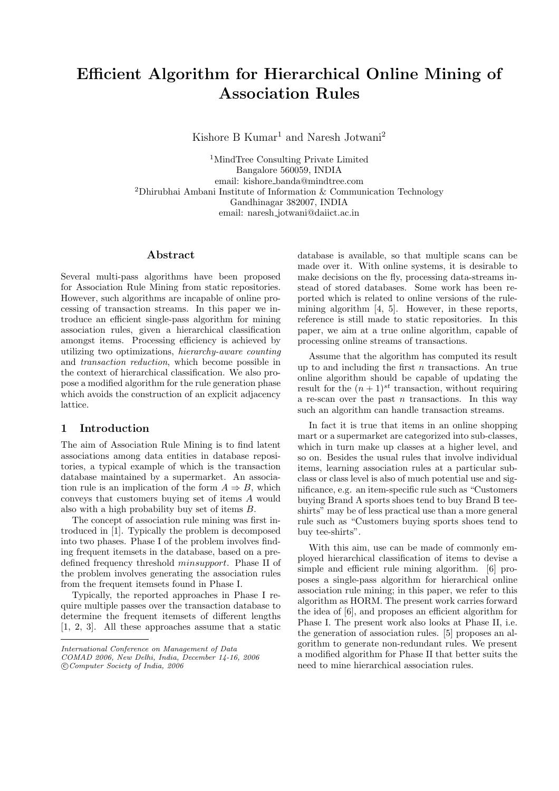# Efficient Algorithm for Hierarchical Online Mining of Association Rules

Kishore B Kumar<sup>1</sup> and Naresh Jotwani<sup>2</sup>

<sup>1</sup>MindTree Consulting Private Limited Bangalore 560059, INDIA email: kishore banda@mindtree.com <sup>2</sup>Dhirubhai Ambani Institute of Information & Communication Technology Gandhinagar 382007, INDIA email: naresh jotwani@daiict.ac.in

## Abstract

Several multi-pass algorithms have been proposed for Association Rule Mining from static repositories. However, such algorithms are incapable of online processing of transaction streams. In this paper we introduce an efficient single-pass algorithm for mining association rules, given a hierarchical classification amongst items. Processing efficiency is achieved by utilizing two optimizations, hierarchy-aware counting and transaction reduction, which become possible in the context of hierarchical classification. We also propose a modified algorithm for the rule generation phase which avoids the construction of an explicit adjacency lattice.

# 1 Introduction

The aim of Association Rule Mining is to find latent associations among data entities in database repositories, a typical example of which is the transaction database maintained by a supermarket. An association rule is an implication of the form  $A \Rightarrow B$ , which conveys that customers buying set of items A would also with a high probability buy set of items B.

The concept of association rule mining was first introduced in [1]. Typically the problem is decomposed into two phases. Phase I of the problem involves finding frequent itemsets in the database, based on a predefined frequency threshold minsupport. Phase II of the problem involves generating the association rules from the frequent itemsets found in Phase I.

Typically, the reported approaches in Phase I require multiple passes over the transaction database to determine the frequent itemsets of different lengths [1, 2, 3]. All these approaches assume that a static

database is available, so that multiple scans can be made over it. With online systems, it is desirable to make decisions on the fly, processing data-streams instead of stored databases. Some work has been reported which is related to online versions of the rulemining algorithm [4, 5]. However, in these reports, reference is still made to static repositories. In this paper, we aim at a true online algorithm, capable of processing online streams of transactions.

Assume that the algorithm has computed its result up to and including the first  $n$  transactions. An true online algorithm should be capable of updating the result for the  $(n+1)^{st}$  transaction, without requiring a re-scan over the past  $n$  transactions. In this way such an algorithm can handle transaction streams.

In fact it is true that items in an online shopping mart or a supermarket are categorized into sub-classes, which in turn make up classes at a higher level, and so on. Besides the usual rules that involve individual items, learning association rules at a particular subclass or class level is also of much potential use and significance, e.g. an item-specific rule such as "Customers buying Brand A sports shoes tend to buy Brand B teeshirts" may be of less practical use than a more general rule such as "Customers buying sports shoes tend to buy tee-shirts".

With this aim, use can be made of commonly employed hierarchical classification of items to devise a simple and efficient rule mining algorithm. [6] proposes a single-pass algorithm for hierarchical online association rule mining; in this paper, we refer to this algorithm as HORM. The present work carries forward the idea of [6], and proposes an efficient algorithm for Phase I. The present work also looks at Phase II, i.e. the generation of association rules. [5] proposes an algorithm to generate non-redundant rules. We present a modified algorithm for Phase II that better suits the need to mine hierarchical association rules.

International Conference on Management of Data COMAD 2006, New Delhi, India, December 14-16, 2006 °c Computer Society of India, 2006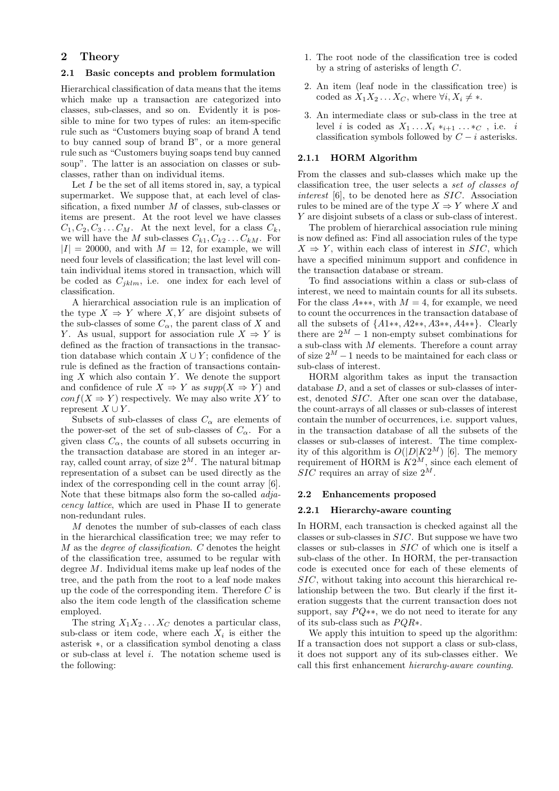# 2 Theory

## 2.1 Basic concepts and problem formulation

Hierarchical classification of data means that the items which make up a transaction are categorized into classes, sub-classes, and so on. Evidently it is possible to mine for two types of rules: an item-specific rule such as "Customers buying soap of brand A tend to buy canned soup of brand B", or a more general rule such as "Customers buying soaps tend buy canned soup". The latter is an association on classes or subclasses, rather than on individual items.

Let  $I$  be the set of all items stored in, say, a typical supermarket. We suppose that, at each level of classification, a fixed number M of classes, sub-classes or items are present. At the root level we have classes  $C_1, C_2, C_3 \ldots C_M$ . At the next level, for a class  $C_k$ , we will have the M sub-classes  $C_{k1}, C_{k2} \ldots C_{kM}$ . For  $|I| = 20000$ , and with  $M = 12$ , for example, we will need four levels of classification; the last level will contain individual items stored in transaction, which will be coded as  $C_{jklm}$ , i.e. one index for each level of classification.

A hierarchical association rule is an implication of the type  $X \Rightarrow Y$  where X, Y are disjoint subsets of the sub-classes of some  $C_{\alpha}$ , the parent class of X and Y. As usual, support for association rule  $X \Rightarrow Y$  is defined as the fraction of transactions in the transaction database which contain  $X \cup Y$ ; confidence of the rule is defined as the fraction of transactions containing  $X$  which also contain  $Y$ . We denote the support and confidence of rule  $X \Rightarrow Y$  as  $supp(X \Rightarrow Y)$  and  $conf(X \Rightarrow Y)$  respectively. We may also write XY to represent  $X \cup Y$ .

Subsets of sub-classes of class  $C_{\alpha}$  are elements of the power-set of the set of sub-classes of  $C_{\alpha}$ . For a given class  $C_{\alpha}$ , the counts of all subsets occurring in the transaction database are stored in an integer array, called count array, of size  $2^M$ . The natural bitmap representation of a subset can be used directly as the index of the corresponding cell in the count array [6]. Note that these bitmaps also form the so-called adjacency lattice, which are used in Phase II to generate non-redundant rules.

M denotes the number of sub-classes of each class in the hierarchical classification tree; we may refer to  $M$  as the *degree of classification*.  $C$  denotes the height of the classification tree, assumed to be regular with degree M. Individual items make up leaf nodes of the tree, and the path from the root to a leaf node makes up the code of the corresponding item. Therefore  $C$  is also the item code length of the classification scheme employed.

The string  $X_1X_2 \ldots X_C$  denotes a particular class, sub-class or item code, where each  $X_i$  is either the asterisk ∗, or a classification symbol denoting a class or sub-class at level i. The notation scheme used is the following:

- 1. The root node of the classification tree is coded by a string of asterisks of length C.
- 2. An item (leaf node in the classification tree) is coded as  $X_1X_2 \ldots X_C$ , where  $\forall i, X_i \neq *$ .
- 3. An intermediate class or sub-class in the tree at level *i* is coded as  $X_1 \ldots X_i *_{i+1} \ldots *_{C}$ , i.e. *i* classification symbols followed by  $C - i$  asterisks.

## 2.1.1 HORM Algorithm

From the classes and sub-classes which make up the classification tree, the user selects a set of classes of interest [6], to be denoted here as SIC. Association rules to be mined are of the type  $X \Rightarrow Y$  where X and Y are disjoint subsets of a class or sub-class of interest.

The problem of hierarchical association rule mining is now defined as: Find all association rules of the type  $X \Rightarrow Y$ , within each class of interest in SIC, which have a specified minimum support and confidence in the transaction database or stream.

To find associations within a class or sub-class of interest, we need to maintain counts for all its subsets. For the class  $A***$ , with  $M = 4$ , for example, we need to count the occurrences in the transaction database of all the subsets of  ${A1**}, A2**}, A3**}, A4**}.$  Clearly there are  $2^M - 1$  non-empty subset combinations for a sub-class with M elements. Therefore a count array of size  $2^M - 1$  needs to be maintained for each class or sub-class of interest.

HORM algorithm takes as input the transaction database D, and a set of classes or sub-classes of interest, denoted SIC. After one scan over the database, the count-arrays of all classes or sub-classes of interest contain the number of occurrences, i.e. support values, in the transaction database of all the subsets of the classes or sub-classes of interest. The time complexity of this algorithm is  $O(|D|K2^M)$  [6]. The memory requirement of HORM is  $K2^M$ , since each element of  $SIC$  requires an array of size  $2^M$ .

#### 2.2 Enhancements proposed

#### 2.2.1 Hierarchy-aware counting

In HORM, each transaction is checked against all the classes or sub-classes in SIC. But suppose we have two classes or sub-classes in SIC of which one is itself a sub-class of the other. In HORM, the per-transaction code is executed once for each of these elements of SIC, without taking into account this hierarchical relationship between the two. But clearly if the first iteration suggests that the current transaction does not support, say  $PQ$ \*\*, we do not need to iterate for any of its sub-class such as  $PQR*$ .

We apply this intuition to speed up the algorithm: If a transaction does not support a class or sub-class, it does not support any of its sub-classes either. We call this first enhancement hierarchy-aware counting.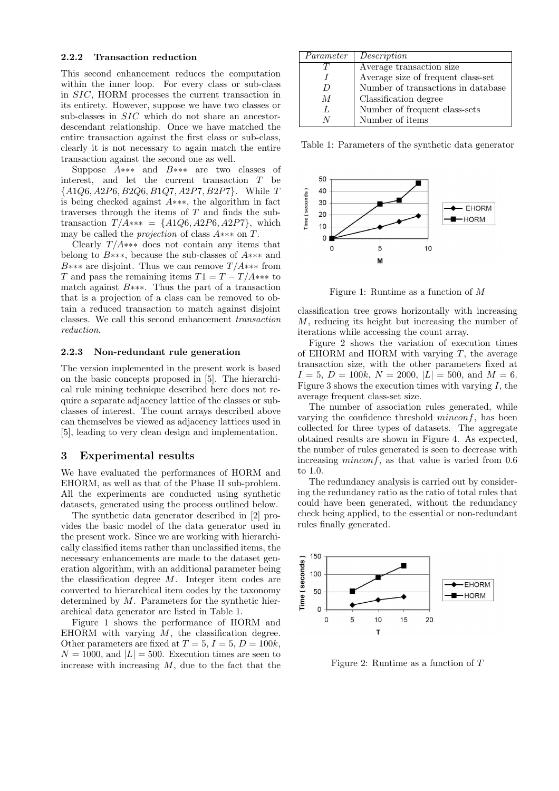## 2.2.2 Transaction reduction

This second enhancement reduces the computation within the inner loop. For every class or sub-class in SIC, HORM processes the current transaction in its entirety. However, suppose we have two classes or sub-classes in SIC which do not share an ancestordescendant relationship. Once we have matched the entire transaction against the first class or sub-class, clearly it is not necessary to again match the entire transaction against the second one as well.

Suppose A∗∗∗ and B∗∗∗ are two classes of interest, and let the current transaction T be  $\{A1Q6, A2P6, B2Q6, B1Q7, A2P7, B2P7\}$ . While T is being checked against A∗∗∗, the algorithm in fact traverses through the items of T and finds the subtransaction  $T/A*** = \{A1Q6, A2P6, A2P7\}$ , which may be called the projection of class A∗∗∗ on T.

Clearly  $T/A$ ∗∗∗ does not contain any items that belong to B∗∗∗, because the sub-classes of A∗∗∗ and B<sup>\*\*\*</sup> are disjoint. Thus we can remove  $T/A$ \*\*\* from T and pass the remaining items  $T1 = T - T/A$ \*\*\* to match against B∗∗∗. Thus the part of a transaction that is a projection of a class can be removed to obtain a reduced transaction to match against disjoint classes. We call this second enhancement transaction reduction.

### 2.2.3 Non-redundant rule generation

The version implemented in the present work is based on the basic concepts proposed in [5]. The hierarchical rule mining technique described here does not require a separate adjacency lattice of the classes or subclasses of interest. The count arrays described above can themselves be viewed as adjacency lattices used in [5], leading to very clean design and implementation.

## 3 Experimental results

We have evaluated the performances of HORM and EHORM, as well as that of the Phase II sub-problem. All the experiments are conducted using synthetic datasets, generated using the process outlined below.

The synthetic data generator described in [2] provides the basic model of the data generator used in the present work. Since we are working with hierarchically classified items rather than unclassified items, the necessary enhancements are made to the dataset generation algorithm, with an additional parameter being the classification degree M. Integer item codes are converted to hierarchical item codes by the taxonomy determined by  $M$ . Parameters for the synthetic hierarchical data generator are listed in Table 1.

Figure 1 shows the performance of HORM and EHORM with varying  $M$ , the classification degree. Other parameters are fixed at  $T = 5$ ,  $I = 5$ ,  $D = 100k$ ,  $N = 1000$ , and  $|L| = 500$ . Execution times are seen to increase with increasing  $M$ , due to the fact that the

| Parameter      | Description                        |
|----------------|------------------------------------|
|                | Average transaction size           |
|                | Average size of frequent class-set |
| $\overline{D}$ | Number of transactions in database |
| M              | Classification degree              |
| L              | Number of frequent class-sets      |
|                | Number of items                    |

Table 1: Parameters of the synthetic data generator



Figure 1: Runtime as a function of M

classification tree grows horizontally with increasing M, reducing its height but increasing the number of iterations while accessing the count array.

Figure 2 shows the variation of execution times of EHORM and HORM with varying  $T$ , the average transaction size, with the other parameters fixed at  $I = 5, D = 100k, N = 2000, |L| = 500, \text{ and } M = 6.$ Figure 3 shows the execution times with varying  $I$ , the average frequent class-set size.

The number of association rules generated, while varying the confidence threshold  $minconf$ , has been collected for three types of datasets. The aggregate obtained results are shown in Figure 4. As expected, the number of rules generated is seen to decrease with increasing *minconf*, as that value is varied from 0.6 to 1.0.

The redundancy analysis is carried out by considering the redundancy ratio as the ratio of total rules that could have been generated, without the redundancy check being applied, to the essential or non-redundant rules finally generated.



Figure 2: Runtime as a function of T